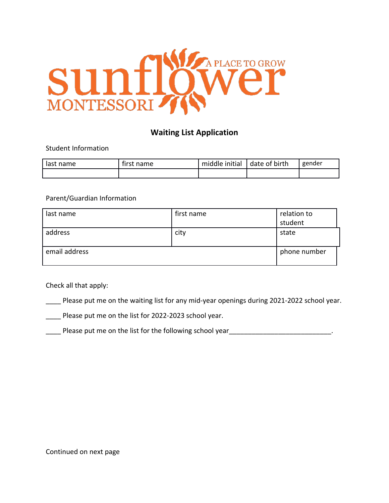

# **Waiting List Application**

Student Information

| last name | tirst name | middle initial | date of birth | gender |
|-----------|------------|----------------|---------------|--------|
|           |            |                |               |        |

## Parent/Guardian Information

| last name     | first name | relation to<br>student |
|---------------|------------|------------------------|
| address       | city       | state                  |
| email address |            | phone number           |

Check all that apply:

Please put me on the waiting list for any mid-year openings during 2021-2022 school year.

\_\_\_\_ Please put me on the list for 2022-2023 school year.

Lackground year Please put me on the list for the following school year<br>Lackground year 2010 versions and the set of the set on the list of the following school year 2011 versions an

Continued on next page